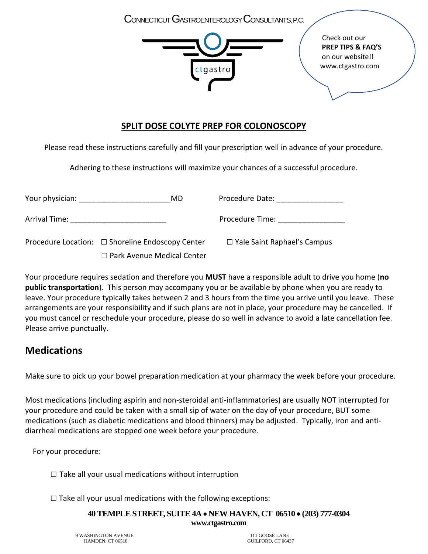CONNECTICUT GASTROENTEROLOGY CONSULTANTS, P.C.



Check out our **PREP TIPS & FAQ'S**  on our website!! www.ctgastro.com

# **SPLIT DOSE COLYTE PREP FOR COLONOSCOPY**

Please read these instructions carefully and fill your prescription well in advance of your procedure.

Adhering to these instructions will maximize your chances of a successful procedure.

| Your physician: The control of the control of the control of the control of the control of the control of the control of the control of the control of the control of the control of the control of the control of the control | MD                                               | Procedure Date: <u>__________</u>  |
|--------------------------------------------------------------------------------------------------------------------------------------------------------------------------------------------------------------------------------|--------------------------------------------------|------------------------------------|
| Arrival Time:                                                                                                                                                                                                                  |                                                  | Procedure Time:                    |
|                                                                                                                                                                                                                                | Procedure Location: □ Shoreline Endoscopy Center | $\Box$ Yale Saint Raphael's Campus |
|                                                                                                                                                                                                                                | $\Box$ Park Avenue Medical Center                |                                    |

Your procedure requires sedation and therefore you **MUST** have a responsible adult to drive you home (**no public transportation**). This person may accompany you or be available by phone when you are ready to leave. Your procedure typically takes between 2 and 3 hours from the time you arrive until you leave. These arrangements are your responsibility and if such plans are not in place, your procedure may be cancelled. If you must cancel or reschedule your procedure, please do so well in advance to avoid a late cancellation fee. Please arrive punctually.

# **Medications**

Make sure to pick up your bowel preparation medication at your pharmacy the week before your procedure.

Most medications (including aspirin and non-steroidal anti-inflammatories) are usually NOT interrupted for your procedure and could be taken with a small sip of water on the day of your procedure, BUT some medications (such as diabetic medications and blood thinners) may be adjusted. Typically, iron and antidiarrheal medications are stopped one week before your procedure.

For your procedure:

 $\square$  Take all your usual medications without interruption

 $\square$  Take all your usual medications with the following exceptions:

**40 TEMPLE STREET, SUITE 4A NEW HAVEN, CT 06510 (203) 777-0304 www.ctgastro.com**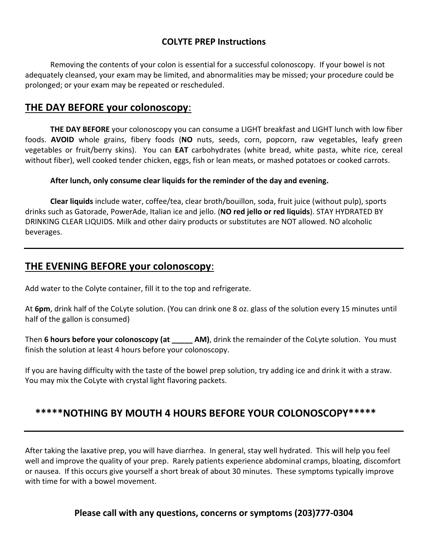## **COLYTE PREP Instructions**

Removing the contents of your colon is essential for a successful colonoscopy. If your bowel is not adequately cleansed, your exam may be limited, and abnormalities may be missed; your procedure could be prolonged; or your exam may be repeated or rescheduled.

## **THE DAY BEFORE your colonoscopy**:

**THE DAY BEFORE** your colonoscopy you can consume a LIGHT breakfast and LIGHT lunch with low fiber foods. **AVOID** whole grains, fibery foods (**NO** nuts, seeds, corn, popcorn, raw vegetables, leafy green vegetables or fruit/berry skins). You can **EAT** carbohydrates (white bread, white pasta, white rice, cereal without fiber), well cooked tender chicken, eggs, fish or lean meats, or mashed potatoes or cooked carrots.

#### **After lunch, only consume clear liquids for the reminder of the day and evening.**

**Clear liquids** include water, coffee/tea, clear broth/bouillon, soda, fruit juice (without pulp), sports drinks such as Gatorade, PowerAde, Italian ice and jello. (**NO red jello or red liquids**). STAY HYDRATED BY DRINKING CLEAR LIQUIDS. Milk and other dairy products or substitutes are NOT allowed. NO alcoholic beverages.

## **THE EVENING BEFORE your colonoscopy**:

Add water to the Colyte container, fill it to the top and refrigerate.

At **6pm**, drink half of the CoLyte solution. (You can drink one 8 oz. glass of the solution every 15 minutes until half of the gallon is consumed)

Then **6 hours before your colonoscopy (at \_\_\_\_\_ AM)**, drink the remainder of the CoLyte solution. You must finish the solution at least 4 hours before your colonoscopy.

If you are having difficulty with the taste of the bowel prep solution, try adding ice and drink it with a straw. You may mix the CoLyte with crystal light flavoring packets.

## **\*\*\*\*\*NOTHING BY MOUTH 4 HOURS BEFORE YOUR COLONOSCOPY\*\*\*\*\***

After taking the laxative prep, you will have diarrhea. In general, stay well hydrated. This will help you feel well and improve the quality of your prep. Rarely patients experience abdominal cramps, bloating, discomfort or nausea. If this occurs give yourself a short break of about 30 minutes. These symptoms typically improve with time for with a bowel movement.

### **Please call with any questions, concerns or symptoms (203)777-0304**